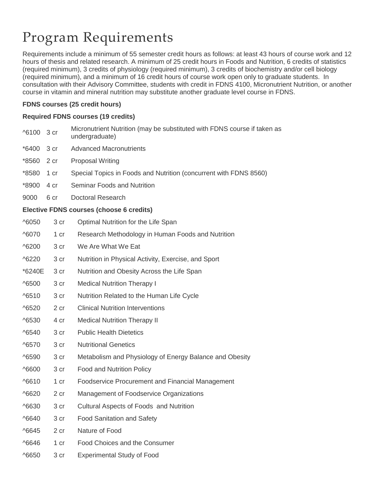# Program Requirements

Requirements include a minimum of 55 semester credit hours as follows: at least 43 hours of course work and 12 hours of thesis and related research. A minimum of 25 credit hours in Foods and Nutrition, 6 credits of statistics (required minimum), 3 credits of physiology (required minimum), 3 credits of biochemistry and/or cell biology (required minimum), and a minimum of 16 credit hours of course work open only to graduate students. In consultation with their Advisory Committee, students with credit in FDNS 4100, Micronutrient Nutrition, or another course in vitamin and mineral nutrition may substitute another graduate level course in FDNS.

## **FDNS courses (25 credit hours)**

## **Required FDNS courses (19 credits)**

| ^6100                                    | 3 cr | Micronutrient Nutrition (may be substituted with FDNS course if taken as<br>undergraduate) |  |  |
|------------------------------------------|------|--------------------------------------------------------------------------------------------|--|--|
| *6400                                    | 3 cr | <b>Advanced Macronutrients</b>                                                             |  |  |
| *8560                                    | 2 cr | <b>Proposal Writing</b>                                                                    |  |  |
| *8580                                    | 1 cr | Special Topics in Foods and Nutrition (concurrent with FDNS 8560)                          |  |  |
| *8900                                    | 4 cr | Seminar Foods and Nutrition                                                                |  |  |
| 9000                                     | 6 cr | Doctoral Research                                                                          |  |  |
| Elective FDNS courses (choose 6 credits) |      |                                                                                            |  |  |
| ^6050                                    | 3 cr | Optimal Nutrition for the Life Span                                                        |  |  |
| ^6070                                    | 1 cr | Research Methodology in Human Foods and Nutrition                                          |  |  |
| ^6200                                    | 3 cr | We Are What We Eat                                                                         |  |  |
| ^6220                                    | 3 cr | Nutrition in Physical Activity, Exercise, and Sport                                        |  |  |
| *6240E                                   | 3 cr | Nutrition and Obesity Across the Life Span                                                 |  |  |
| ^6500                                    | 3 cr | <b>Medical Nutrition Therapy I</b>                                                         |  |  |
| ^6510                                    | 3 cr | Nutrition Related to the Human Life Cycle                                                  |  |  |
| ^6520                                    | 2 cr | <b>Clinical Nutrition Interventions</b>                                                    |  |  |
| ^6530                                    | 4 cr | <b>Medical Nutrition Therapy II</b>                                                        |  |  |
| ^6540                                    | 3 cr | <b>Public Health Dietetics</b>                                                             |  |  |
| ^6570                                    | 3 cr | <b>Nutritional Genetics</b>                                                                |  |  |
| ^6590                                    | 3 cr | Metabolism and Physiology of Energy Balance and Obesity                                    |  |  |
| ^6600                                    | 3 cr | <b>Food and Nutrition Policy</b>                                                           |  |  |
| ^6610                                    | 1 cr | Foodservice Procurement and Financial Management                                           |  |  |
| ^6620                                    | 2 cr | Management of Foodservice Organizations                                                    |  |  |
| ^6630                                    | 3 cr | Cultural Aspects of Foods and Nutrition                                                    |  |  |
| ^6640                                    | 3 cr | <b>Food Sanitation and Safety</b>                                                          |  |  |
| ^6645                                    | 2 cr | Nature of Food                                                                             |  |  |
| ^6646                                    | 1 cr | Food Choices and the Consumer                                                              |  |  |
| ^6650                                    | 3 cr | <b>Experimental Study of Food</b>                                                          |  |  |